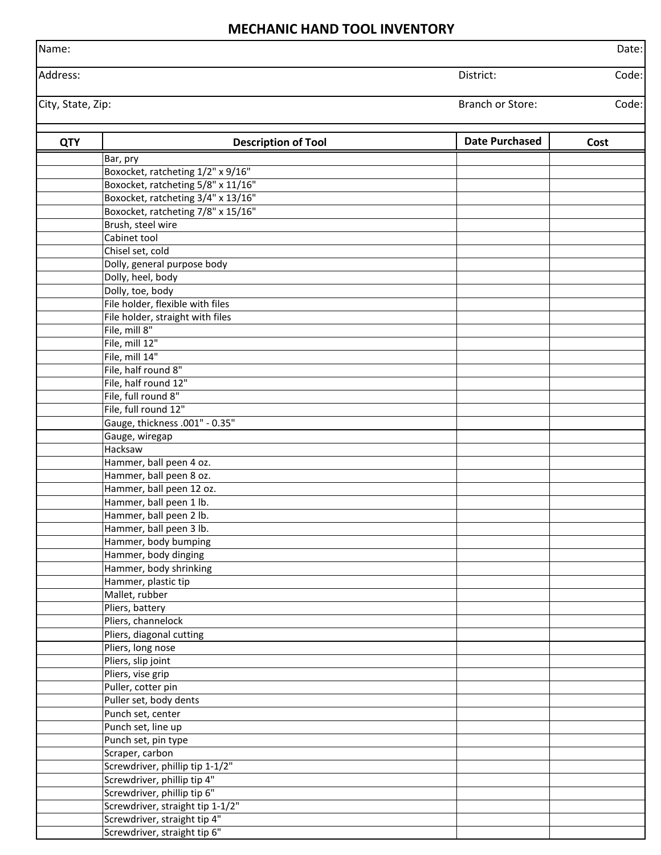## **MECHANIC HAND TOOL INVENTORY**

| Name:             | """"""                                      |                         | Date: |
|-------------------|---------------------------------------------|-------------------------|-------|
| Address:          |                                             | District:               | Code: |
|                   |                                             |                         |       |
| City, State, Zip: |                                             | <b>Branch or Store:</b> | Code: |
| <b>QTY</b>        | <b>Description of Tool</b>                  | <b>Date Purchased</b>   | Cost  |
|                   | Bar, pry                                    |                         |       |
|                   | Boxocket, ratcheting 1/2" x 9/16"           |                         |       |
|                   | Boxocket, ratcheting 5/8" x 11/16"          |                         |       |
|                   | Boxocket, ratcheting 3/4" x 13/16"          |                         |       |
|                   | Boxocket, ratcheting 7/8" x 15/16"          |                         |       |
|                   | Brush, steel wire<br>Cabinet tool           |                         |       |
|                   | Chisel set, cold                            |                         |       |
|                   | Dolly, general purpose body                 |                         |       |
|                   | Dolly, heel, body                           |                         |       |
|                   | Dolly, toe, body                            |                         |       |
|                   | File holder, flexible with files            |                         |       |
|                   | File holder, straight with files            |                         |       |
|                   | File, mill 8"                               |                         |       |
|                   | File, mill 12"                              |                         |       |
|                   | File, mill 14"                              |                         |       |
|                   | File, half round 8"                         |                         |       |
|                   | File, half round 12"                        |                         |       |
|                   | File, full round 8"                         |                         |       |
|                   | File, full round 12"                        |                         |       |
|                   | Gauge, thickness .001" - 0.35"              |                         |       |
|                   | Gauge, wiregap                              |                         |       |
|                   | Hacksaw<br>Hammer, ball peen 4 oz.          |                         |       |
|                   | Hammer, ball peen 8 oz.                     |                         |       |
|                   | Hammer, ball peen 12 oz.                    |                         |       |
|                   | Hammer, ball peen 1 lb.                     |                         |       |
|                   | Hammer, ball peen 2 lb.                     |                         |       |
|                   | Hammer, ball peen 3 lb.                     |                         |       |
|                   | Hammer, body bumping                        |                         |       |
|                   | Hammer, body dinging                        |                         |       |
|                   | Hammer, body shrinking                      |                         |       |
|                   | Hammer, plastic tip                         |                         |       |
|                   | Mallet, rubber                              |                         |       |
|                   | Pliers, battery                             |                         |       |
|                   | Pliers, channelock                          |                         |       |
|                   | Pliers, diagonal cutting                    |                         |       |
|                   | Pliers, long nose                           |                         |       |
|                   | Pliers, slip joint                          |                         |       |
|                   | Pliers, vise grip                           |                         |       |
|                   | Puller, cotter pin                          |                         |       |
|                   | Puller set, body dents<br>Punch set, center |                         |       |
|                   | Punch set, line up                          |                         |       |
|                   | Punch set, pin type                         |                         |       |
|                   | Scraper, carbon                             |                         |       |
|                   | Screwdriver, phillip tip 1-1/2"             |                         |       |
|                   | Screwdriver, phillip tip 4"                 |                         |       |
|                   | Screwdriver, phillip tip 6"                 |                         |       |
|                   | Screwdriver, straight tip 1-1/2"            |                         |       |
|                   | Screwdriver, straight tip 4"                |                         |       |

Screwdriver, straight tip 6"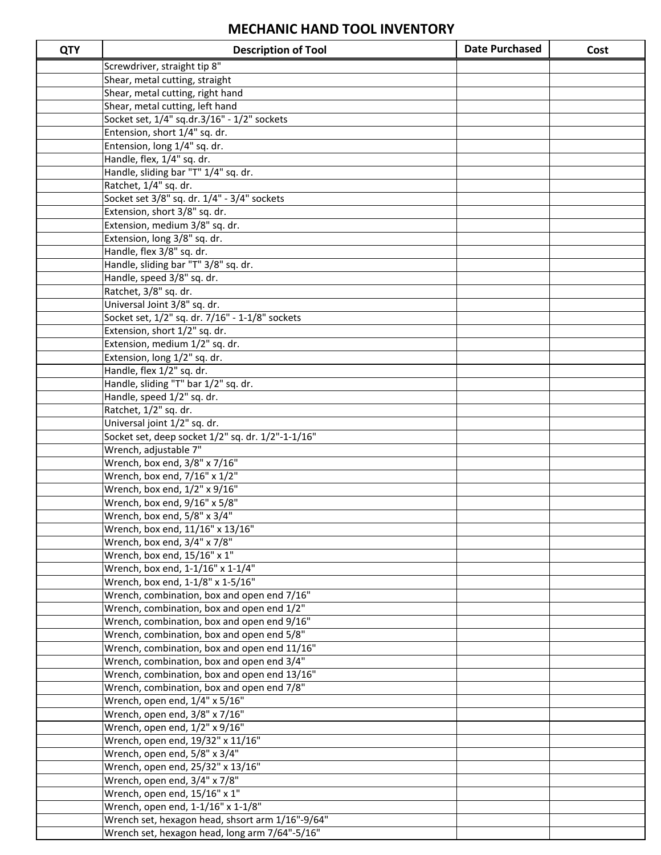## **MECHANIC HAND TOOL INVENTORY**

| <b>QTY</b> | <b>Description of Tool</b>                          | <b>Date Purchased</b> | Cost |
|------------|-----------------------------------------------------|-----------------------|------|
|            | Screwdriver, straight tip 8"                        |                       |      |
|            | Shear, metal cutting, straight                      |                       |      |
|            | Shear, metal cutting, right hand                    |                       |      |
|            | Shear, metal cutting, left hand                     |                       |      |
|            | Socket set, 1/4" sq.dr.3/16" - 1/2" sockets         |                       |      |
|            | Entension, short 1/4" sq. dr.                       |                       |      |
|            | Entension, long 1/4" sq. dr.                        |                       |      |
|            | Handle, flex, 1/4" sq. dr.                          |                       |      |
|            | Handle, sliding bar "T" 1/4" sq. dr.                |                       |      |
|            | Ratchet, 1/4" sq. dr.                               |                       |      |
|            | Socket set 3/8" sq. dr. 1/4" - 3/4" sockets         |                       |      |
|            | Extension, short 3/8" sq. dr.                       |                       |      |
|            | Extension, medium 3/8" sq. dr.                      |                       |      |
|            | Extension, long 3/8" sq. dr.                        |                       |      |
|            | Handle, flex 3/8" sq. dr.                           |                       |      |
|            | Handle, sliding bar "T" 3/8" sq. dr.                |                       |      |
|            | Handle, speed 3/8" sq. dr.                          |                       |      |
|            | Ratchet, 3/8" sq. dr.                               |                       |      |
|            | Universal Joint 3/8" sq. dr.                        |                       |      |
|            | Socket set, 1/2" sq. dr. 7/16" - 1-1/8" sockets     |                       |      |
|            | Extension, short 1/2" sq. dr.                       |                       |      |
|            | Extension, medium 1/2" sq. dr.                      |                       |      |
|            | Extension, long 1/2" sq. dr.                        |                       |      |
|            | Handle, flex 1/2" sq. dr.                           |                       |      |
|            | Handle, sliding "T" bar 1/2" sq. dr.                |                       |      |
|            | Handle, speed 1/2" sq. dr.<br>Ratchet, 1/2" sq. dr. |                       |      |
|            | Universal joint 1/2" sq. dr.                        |                       |      |
|            | Socket set, deep socket 1/2" sq. dr. 1/2"-1-1/16"   |                       |      |
|            | Wrench, adjustable 7"                               |                       |      |
|            | Wrench, box end, 3/8" x 7/16"                       |                       |      |
|            | Wrench, box end, 7/16" x 1/2"                       |                       |      |
|            | Wrench, box end, 1/2" x 9/16"                       |                       |      |
|            | Wrench, box end, 9/16" x 5/8"                       |                       |      |
|            | Wrench, box end, 5/8" x 3/4"                        |                       |      |
|            | Wrench, box end, 11/16" x 13/16"                    |                       |      |
|            | Wrench, box end, 3/4" x 7/8"                        |                       |      |
|            | Wrench, box end, 15/16" x 1"                        |                       |      |
|            | Wrench, box end, 1-1/16" x 1-1/4"                   |                       |      |
|            | Wrench, box end, 1-1/8" x 1-5/16"                   |                       |      |
|            | Wrench, combination, box and open end 7/16"         |                       |      |
|            | Wrench, combination, box and open end 1/2"          |                       |      |
|            | Wrench, combination, box and open end 9/16"         |                       |      |
|            | Wrench, combination, box and open end 5/8"          |                       |      |
|            | Wrench, combination, box and open end 11/16"        |                       |      |
|            | Wrench, combination, box and open end 3/4"          |                       |      |
|            | Wrench, combination, box and open end 13/16"        |                       |      |
|            | Wrench, combination, box and open end 7/8"          |                       |      |
|            | Wrench, open end, 1/4" x 5/16"                      |                       |      |
|            | Wrench, open end, 3/8" x 7/16"                      |                       |      |
|            | Wrench, open end, 1/2" x 9/16"                      |                       |      |
|            | Wrench, open end, 19/32" x 11/16"                   |                       |      |
|            | Wrench, open end, 5/8" x 3/4"                       |                       |      |
|            | Wrench, open end, 25/32" x 13/16"                   |                       |      |
|            | Wrench, open end, 3/4" x 7/8"                       |                       |      |
|            | Wrench, open end, 15/16" x 1"                       |                       |      |
|            | Wrench, open end, 1-1/16" x 1-1/8"                  |                       |      |
|            | Wrench set, hexagon head, shsort arm 1/16"-9/64"    |                       |      |
|            | Wrench set, hexagon head, long arm 7/64"-5/16"      |                       |      |